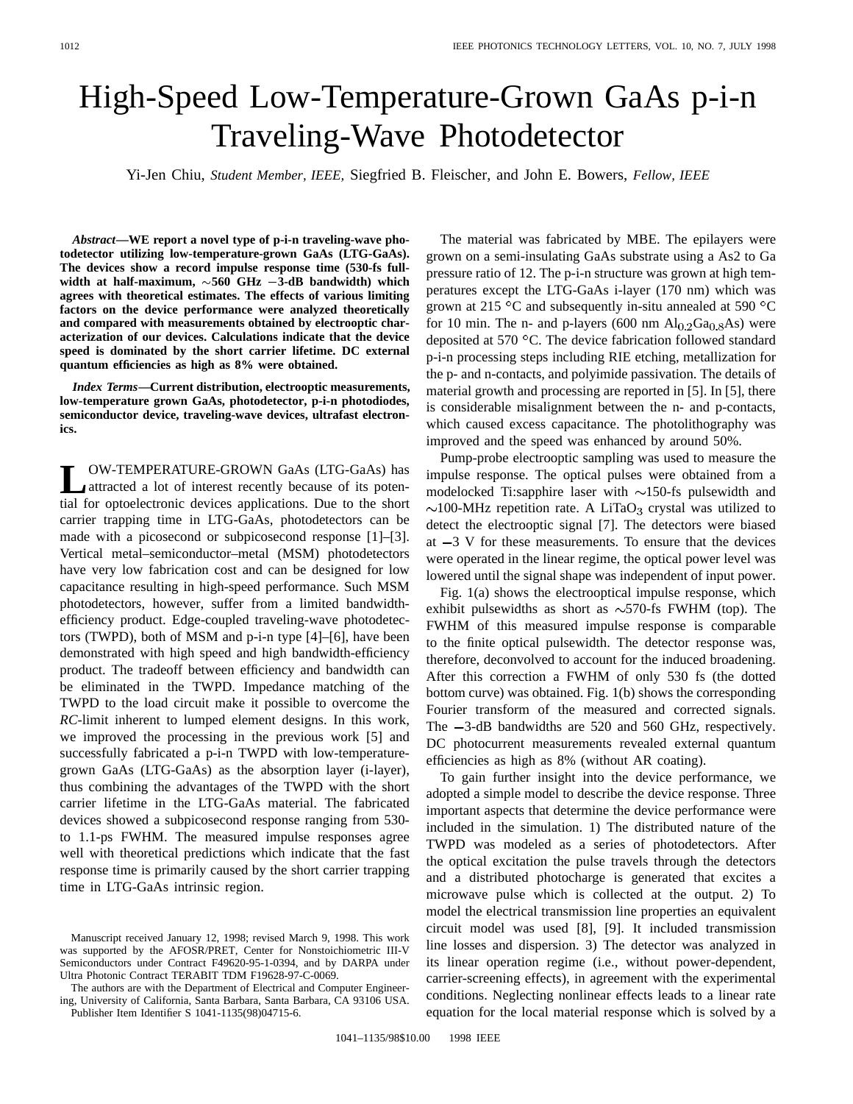## High-Speed Low-Temperature-Grown GaAs p-i-n Traveling-Wave Photodetector

Yi-Jen Chiu, *Student Member, IEEE,* Siegfried B. Fleischer, and John E. Bowers, *Fellow, IEEE*

*Abstract—***WE report a novel type of p-i-n traveling-wave photodetector utilizing low-temperature-grown GaAs (LTG-GaAs). The devices show a record impulse response time (530-fs fullwidth at half-maximum, 560 GHz 3-dB bandwidth) which agrees with theoretical estimates. The effects of various limiting factors on the device performance were analyzed theoretically and compared with measurements obtained by electrooptic characterization of our devices. Calculations indicate that the device speed is dominated by the short carrier lifetime. DC external quantum efficiencies as high as 8% were obtained.**

*Index Terms—***Current distribution, electrooptic measurements, low-temperature grown GaAs, photodetector, p-i-n photodiodes, semiconductor device, traveling-wave devices, ultrafast electronics.**

**LOW-TEMPERATURE-GROWN GaAs (LTG-GaAs) has**<br>
attracted a lot of interest recently because of its poten-<br>
is a few antestance of the state of the state tial for optoelectronic devices applications. Due to the short carrier trapping time in LTG-GaAs, photodetectors can be made with a picosecond or subpicosecond response [1]–[3]. Vertical metal–semiconductor–metal (MSM) photodetectors have very low fabrication cost and can be designed for low capacitance resulting in high-speed performance. Such MSM photodetectors, however, suffer from a limited bandwidthefficiency product. Edge-coupled traveling-wave photodetectors (TWPD), both of MSM and p-i-n type [4]–[6], have been demonstrated with high speed and high bandwidth-efficiency product. The tradeoff between efficiency and bandwidth can be eliminated in the TWPD. Impedance matching of the TWPD to the load circuit make it possible to overcome the *RC*-limit inherent to lumped element designs. In this work, we improved the processing in the previous work [5] and successfully fabricated a p-i-n TWPD with low-temperaturegrown GaAs (LTG-GaAs) as the absorption layer (i-layer), thus combining the advantages of the TWPD with the short carrier lifetime in the LTG-GaAs material. The fabricated devices showed a subpicosecond response ranging from 530 to 1.1-ps FWHM. The measured impulse responses agree well with theoretical predictions which indicate that the fast response time is primarily caused by the short carrier trapping time in LTG-GaAs intrinsic region.

The material was fabricated by MBE. The epilayers were grown on a semi-insulating GaAs substrate using a As2 to Ga pressure ratio of 12. The p-i-n structure was grown at high temperatures except the LTG-GaAs i-layer (170 nm) which was grown at 215  $\rm{^{\circ}C}$  and subsequently in-situ annealed at 590  $\rm{^{\circ}C}$ for 10 min. The n- and p-layers (600 nm  $Al<sub>0.2</sub>Ga<sub>0.8</sub>As$ ) were deposited at 570  $^{\circ}$ C. The device fabrication followed standard p-i-n processing steps including RIE etching, metallization for the p- and n-contacts, and polyimide passivation. The details of material growth and processing are reported in [5]. In [5], there is considerable misalignment between the n- and p-contacts, which caused excess capacitance. The photolithography was improved and the speed was enhanced by around 50%.

Pump-probe electrooptic sampling was used to measure the impulse response. The optical pulses were obtained from a modelocked Ti:sapphire laser with  $\sim$ 150-fs pulsewidth and  $\sim$ 100-MHz repetition rate. A LiTaO<sub>3</sub> crystal was utilized to detect the electrooptic signal [7]. The detectors were biased at  $-3$  V for these measurements. To ensure that the devices were operated in the linear regime, the optical power level was lowered until the signal shape was independent of input power.

Fig. 1(a) shows the electrooptical impulse response, which exhibit pulsewidths as short as  $\sim$ 570-fs FWHM (top). The FWHM of this measured impulse response is comparable to the finite optical pulsewidth. The detector response was, therefore, deconvolved to account for the induced broadening. After this correction a FWHM of only 530 fs (the dotted bottom curve) was obtained. Fig. 1(b) shows the corresponding Fourier transform of the measured and corrected signals. The  $-3$ -dB bandwidths are 520 and 560 GHz, respectively. DC photocurrent measurements revealed external quantum efficiencies as high as 8% (without AR coating).

To gain further insight into the device performance, we adopted a simple model to describe the device response. Three important aspects that determine the device performance were included in the simulation. 1) The distributed nature of the TWPD was modeled as a series of photodetectors. After the optical excitation the pulse travels through the detectors and a distributed photocharge is generated that excites a microwave pulse which is collected at the output. 2) To model the electrical transmission line properties an equivalent circuit model was used [8], [9]. It included transmission line losses and dispersion. 3) The detector was analyzed in its linear operation regime (i.e., without power-dependent, carrier-screening effects), in agreement with the experimental conditions. Neglecting nonlinear effects leads to a linear rate equation for the local material response which is solved by a

Manuscript received January 12, 1998; revised March 9, 1998. This work was supported by the AFOSR/PRET, Center for Nonstoichiometric III-V Semiconductors under Contract F49620-95-1-0394, and by DARPA under Ultra Photonic Contract TERABIT TDM F19628-97-C-0069.

The authors are with the Department of Electrical and Computer Engineering, University of California, Santa Barbara, Santa Barbara, CA 93106 USA. Publisher Item Identifier S 1041-1135(98)04715-6.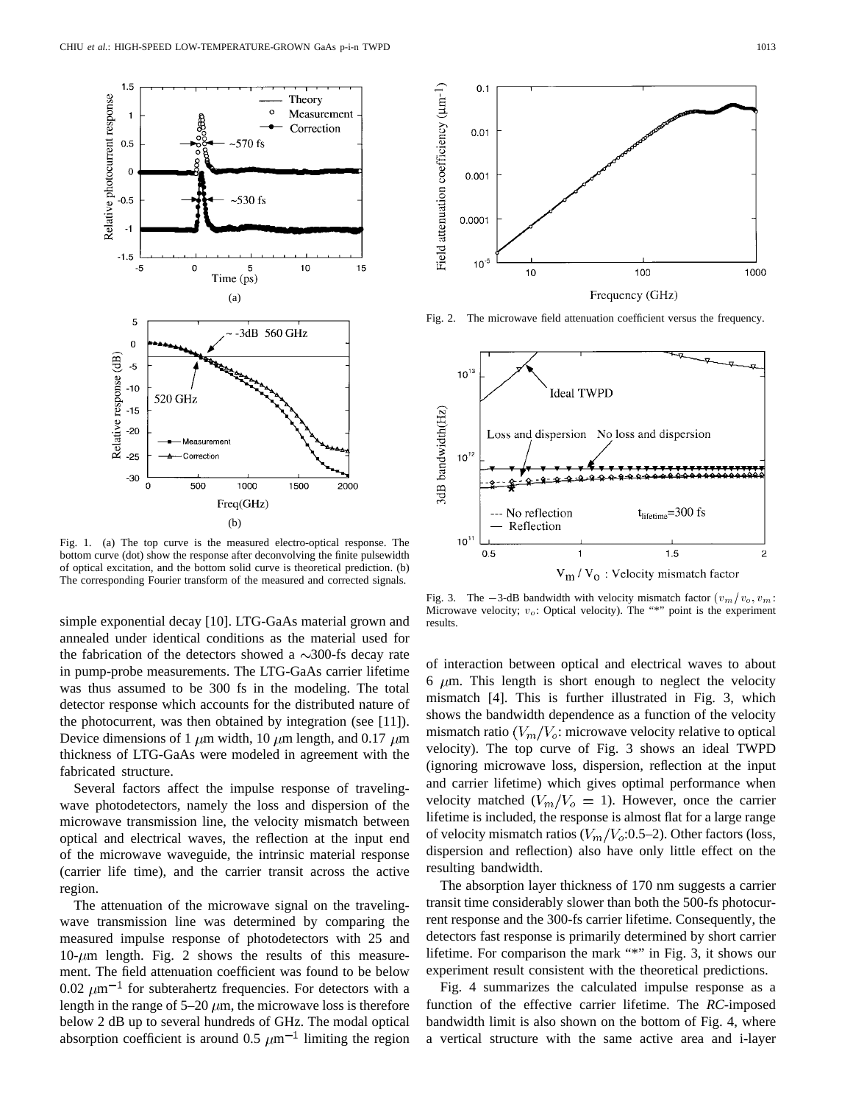

Fig. 1. (a) The top curve is the measured electro-optical response. The bottom curve (dot) show the response after deconvolving the finite pulsewidth of optical excitation, and the bottom solid curve is theoretical prediction. (b) The corresponding Fourier transform of the measured and corrected signals.

simple exponential decay [10]. LTG-GaAs material grown and annealed under identical conditions as the material used for the fabrication of the detectors showed a  $\sim$ 300-fs decay rate in pump-probe measurements. The LTG-GaAs carrier lifetime was thus assumed to be 300 fs in the modeling. The total detector response which accounts for the distributed nature of the photocurrent, was then obtained by integration (see [11]). Device dimensions of 1  $\mu$ m width, 10  $\mu$ m length, and 0.17  $\mu$ m thickness of LTG-GaAs were modeled in agreement with the fabricated structure.

Several factors affect the impulse response of travelingwave photodetectors, namely the loss and dispersion of the microwave transmission line, the velocity mismatch between optical and electrical waves, the reflection at the input end of the microwave waveguide, the intrinsic material response (carrier life time), and the carrier transit across the active region.

The attenuation of the microwave signal on the travelingwave transmission line was determined by comparing the measured impulse response of photodetectors with 25 and  $10$ - $\mu$ m length. Fig. 2 shows the results of this measurement. The field attenuation coefficient was found to be below 0.02  $\mu$ m<sup>-1</sup> for subterahertz frequencies. For detectors with a length in the range of  $5-20 \mu m$ , the microwave loss is therefore below 2 dB up to several hundreds of GHz. The modal optical absorption coefficient is around 0.5  $\mu$ m<sup>-1</sup> limiting the region



Fig. 2. The microwave field attenuation coefficient versus the frequency.



Microwave velocity;  $v_o$ : Optical velocity). The "\*" point is the experiment results.

of interaction between optical and electrical waves to about 6  $\mu$ m. This length is short enough to neglect the velocity mismatch [4]. This is further illustrated in Fig. 3, which shows the bandwidth dependence as a function of the velocity mismatch ratio  $(V_m/V_o)$ : microwave velocity relative to optical velocity). The top curve of Fig. 3 shows an ideal TWPD (ignoring microwave loss, dispersion, reflection at the input and carrier lifetime) which gives optimal performance when velocity matched  $(V_m/V_o = 1)$ . However, once the carrier lifetime is included, the response is almost flat for a large range of velocity mismatch ratios ( $V_m/V_o$ :0.5–2). Other factors (loss, dispersion and reflection) also have only little effect on the resulting bandwidth.

The absorption layer thickness of 170 nm suggests a carrier transit time considerably slower than both the 500-fs photocurrent response and the 300-fs carrier lifetime. Consequently, the detectors fast response is primarily determined by short carrier lifetime. For comparison the mark "\*" in Fig. 3, it shows our experiment result consistent with the theoretical predictions.

Fig. 4 summarizes the calculated impulse response as a function of the effective carrier lifetime. The *RC*-imposed bandwidth limit is also shown on the bottom of Fig. 4, where a vertical structure with the same active area and i-layer